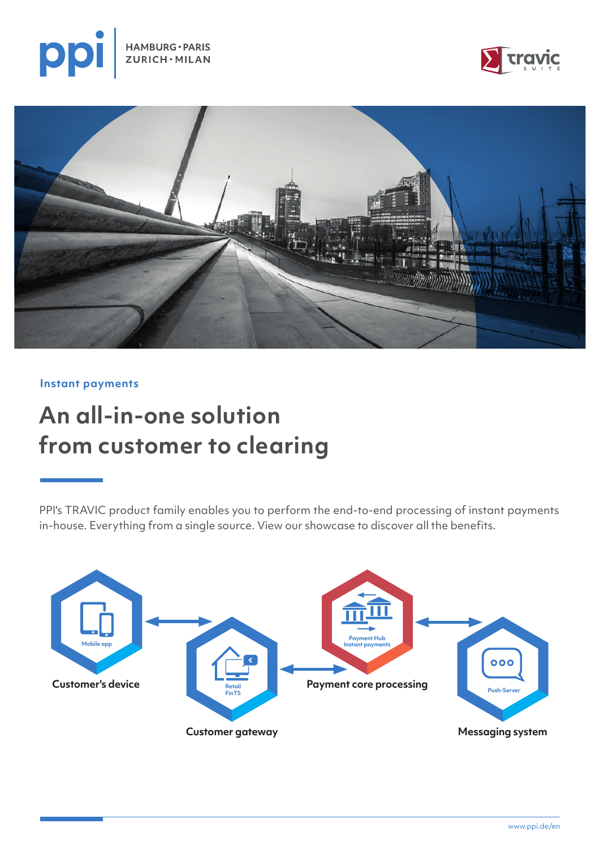





**Instant payments**

# **An all-in-one solution from customer to clearing**

PPI's TRAVIC product family enables you to perform the end-to-end processing of instant payments in-house. Everything from a single source. View our showcase to discover all the benefits.

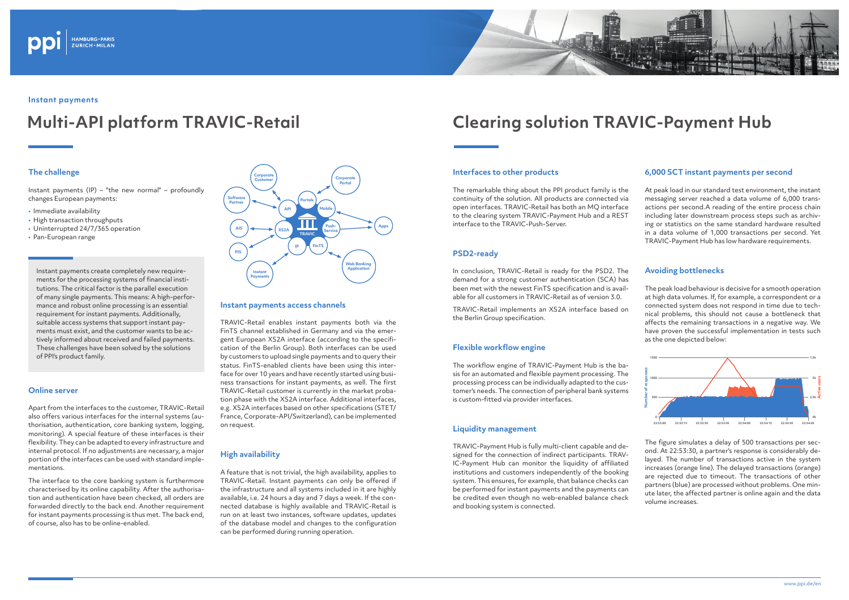# **The challenge**

Instant payments (IP) – "the new normal" – profoundly changes European payments:

- Immediate availability
- High transaction throughputs
- Uninterrupted 24/7/365 operation
- Pan-European range

#### **Online server**

Apart from the interfaces to the customer, TRAVIC-Retail also offers various interfaces for the internal systems (authorisation, authentication, core banking system, logging, monitoring). A special feature of these interfaces is their flexibility. They can be adapted to every infrastructure and internal protocol. If no adjustments are necessary, a major portion of the interfaces can be used with standard implementations.

The interface to the core banking system is furthermore characterised by its online capability. After the authorisation and authentication have been checked, all orders are forwarded directly to the back end. Another requirement for instant payments processing is thus met. The back end, of course, also has to be online-enabled.



# **Instant payments**

# **Multi-API platform TRAVIC-Retail Clearing solution TRAVIC-Payment Hub**

Instant payments create completely new requirements for the processing systems of financial institutions. The critical factor is the parallel execution of many single payments. This means: A high-performance and robust online processing is an essential requirement for instant payments. Additionally, suitable access systems that support instant payments must exist, and the customer wants to be actively informed about received and failed payments. These challenges have been solved by the solutions of PPI's product family.

#### **Instant payments access channels**

TRAVIC-Retail enables instant payments both via the FinTS channel established in Germany and via the emergent European XS2A interface (according to the specification of the Berlin Group). Both interfaces can be used by customers to upload single payments and to query their status. FinTS-enabled clients have been using this interface for over 10 years and have recently started using business transactions for instant payments, as well. The first TRAVIC-Retail customer is currently in the market probation phase with the XS2A interface. Additional interfaces, e.g. XS2A interfaces based on other specifications (STET/ France, Corporate-API/Switzerland), can be implemented on request.

## **High availability**

A feature that is not trivial, the high availability, applies to TRAVIC-Retail. Instant payments can only be offered if the infrastructure and all systems included in it are highly available, i.e. 24 hours a day and 7 days a week. If the connected database is highly available and TRAVIC-Retail is run on at least two instances, software updates, updates of the database model and changes to the configuration can be performed during running operation.



## **Interfaces to other products**

The remarkable thing about the PPI product family is the continuity of the solution. All products are connected via open interfaces. TRAVIC-Retail has both an MQ interface to the clearing system TRAVIC-Payment Hub and a REST interface to the TRAVIC-Push-Server.

# **PSD2-ready**

In conclusion, TRAVIC-Retail is ready for the PSD2. The demand for a strong customer authentication (SCA) has been met with the newest FinTS specification and is available for all customers in TRAVIC-Retail as of version 3.0.

TRAVIC-Retail implements an XS2A interface based on the Berlin Group specification.

### **Flexible workflow engine**

The workflow engine of TRAVIC-Payment Hub is the basis for an automated and flexible payment processing. The processing process can be individually adapted to the customer's needs. The connection of peripheral bank systems is custom-fitted via provider interfaces.

### **Liquidity management**

TRAVIC-Payment Hub is fully multi-client capable and designed for the connection of indirect participants. TRAV-IC-Payment Hub can monitor the liquidity of affiliated institutions and customers independently of the booking system. This ensures, for example, that balance checks can be performed for instant payments and the payments can be credited even though no web-enabled balance check and booking system is connected.



# **6,000 SCT instant payments per second**

At peak load in our standard test environment, the instant messaging server reached a data volume of 6,000 transactions per second.A reading of the entire process chain including later downstream process steps such as archiving or statistics on the same standard hardware resulted in a data volume of 1,000 transactions per second. Yet TRAVIC-Payment Hub has low hardware requirements.

# **Avoiding bottlenecks**

The peak load behaviour is decisive for a smooth operation at high data volumes. If, for example, a correspondent or a connected system does not respond in time due to technical problems, this should not cause a bottleneck that affects the remaining transactions in a negative way. We have proven the successful implementation in tests such as the one depicted below:

The figure simulates a delay of 500 transactions per second. At 22:53:30, a partner's response is considerably delayed. The number of transactions active in the system increases (orange line). The delayed transactions (orange) are rejected due to timeout. The transactions of other partners (blue) are processed without problems. One minute later, the affected partner is online again and the data volume increases.